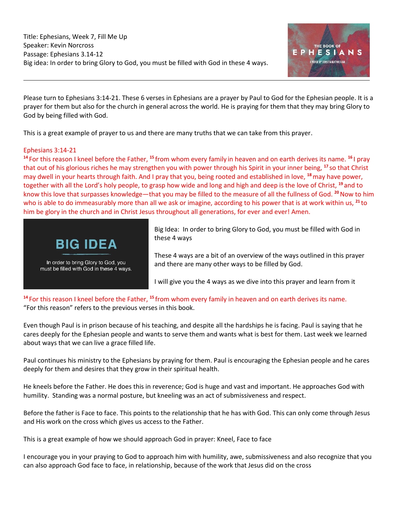

Please turn to Ephesians 3:14-21. These 6 verses in Ephesians are a prayer by Paul to God for the Ephesian people. It is a prayer for them but also for the church in general across the world. He is praying for them that they may bring Glory to God by being filled with God.

This is a great example of prayer to us and there are many truths that we can take from this prayer.

## Ephesians 3:14-21

**<sup>14</sup>** For this reason I kneel before the Father, **<sup>15</sup>** from whom every family in heaven and on earth derives its name. **<sup>16</sup>** I pray that out of his glorious riches he may strengthen you with power through his Spirit in your inner being, **<sup>17</sup>** so that Christ may dwell in your hearts through faith. And I pray that you, being rooted and established in love, **<sup>18</sup>**may have power, together with all the Lord's holy people, to grasp how wide and long and high and deep is the love of Christ, **<sup>19</sup>** and to know this love that surpasses knowledge—that you may be filled to the measure of all the fullness of God. **<sup>20</sup>**Now to him who is able to do immeasurably more than all we ask or imagine, according to his power that is at work within us, **<sup>21</sup>** to him be glory in the church and in Christ Jesus throughout all generations, for ever and ever! Amen.



Big Idea: In order to bring Glory to God, you must be filled with God in these 4 ways

These 4 ways are a bit of an overview of the ways outlined in this prayer and there are many other ways to be filled by God.

I will give you the 4 ways as we dive into this prayer and learn from it

**<sup>14</sup>** For this reason I kneel before the Father, **<sup>15</sup>** from whom every family in heaven and on earth derives its name. "For this reason" refers to the previous verses in this book.

Even though Paul is in prison because of his teaching, and despite all the hardships he is facing. Paul is saying that he cares deeply for the Ephesian people and wants to serve them and wants what is best for them. Last week we learned about ways that we can live a grace filled life.

Paul continues his ministry to the Ephesians by praying for them. Paul is encouraging the Ephesian people and he cares deeply for them and desires that they grow in their spiritual health.

He kneels before the Father. He does this in reverence; God is huge and vast and important. He approaches God with humility. Standing was a normal posture, but kneeling was an act of submissiveness and respect.

Before the father is Face to face. This points to the relationship that he has with God. This can only come through Jesus and His work on the cross which gives us access to the Father.

This is a great example of how we should approach God in prayer: Kneel, Face to face

I encourage you in your praying to God to approach him with humility, awe, submissiveness and also recognize that you can also approach God face to face, in relationship, because of the work that Jesus did on the cross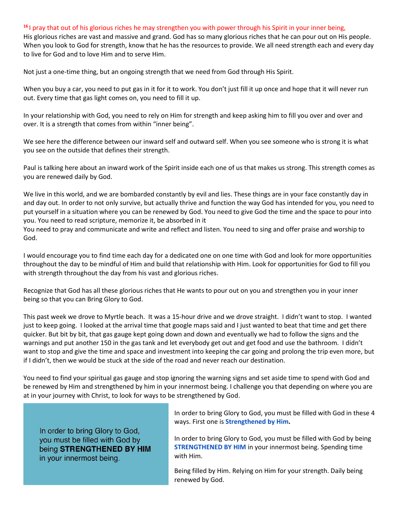#### **<sup>16</sup>** I pray that out of his glorious riches he may strengthen you with power through his Spirit in your inner being,

His glorious riches are vast and massive and grand. God has so many glorious riches that he can pour out on His people. When you look to God for strength, know that he has the resources to provide. We all need strength each and every day to live for God and to love Him and to serve Him.

Not just a one-time thing, but an ongoing strength that we need from God through His Spirit.

When you buy a car, you need to put gas in it for it to work. You don't just fill it up once and hope that it will never run out. Every time that gas light comes on, you need to fill it up.

In your relationship with God, you need to rely on Him for strength and keep asking him to fill you over and over and over. It is a strength that comes from within "inner being".

We see here the difference between our inward self and outward self. When you see someone who is strong it is what you see on the outside that defines their strength.

Paul is talking here about an inward work of the Spirit inside each one of us that makes us strong. This strength comes as you are renewed daily by God.

We live in this world, and we are bombarded constantly by evil and lies. These things are in your face constantly day in and day out. In order to not only survive, but actually thrive and function the way God has intended for you, you need to put yourself in a situation where you can be renewed by God. You need to give God the time and the space to pour into you. You need to read scripture, memorize it, be absorbed in it

You need to pray and communicate and write and reflect and listen. You need to sing and offer praise and worship to God.

I would encourage you to find time each day for a dedicated one on one time with God and look for more opportunities throughout the day to be mindful of Him and build that relationship with Him. Look for opportunities for God to fill you with strength throughout the day from his vast and glorious riches.

Recognize that God has all these glorious riches that He wants to pour out on you and strengthen you in your inner being so that you can Bring Glory to God.

This past week we drove to Myrtle beach. It was a 15-hour drive and we drove straight. I didn't want to stop. I wanted just to keep going. I looked at the arrival time that google maps said and I just wanted to beat that time and get there quicker. But bit by bit, that gas gauge kept going down and down and eventually we had to follow the signs and the warnings and put another 150 in the gas tank and let everybody get out and get food and use the bathroom. I didn't want to stop and give the time and space and investment into keeping the car going and prolong the trip even more, but if I didn't, then we would be stuck at the side of the road and never reach our destination.

You need to find your spiritual gas gauge and stop ignoring the warning signs and set aside time to spend with God and be renewed by Him and strengthened by him in your innermost being. I challenge you that depending on where you are at in your journey with Christ, to look for ways to be strengthened by God.

In order to bring Glory to God, you must be filled with God by being STRENGTHENED BY HIM in your innermost being.

In order to bring Glory to God, you must be filled with God in these 4 ways. First one is **Strengthened by Him.**

In order to bring Glory to God, you must be filled with God by being **STRENGTHENED BY HIM** in your innermost being. Spending time with Him.

Being filled by Him. Relying on Him for your strength. Daily being renewed by God.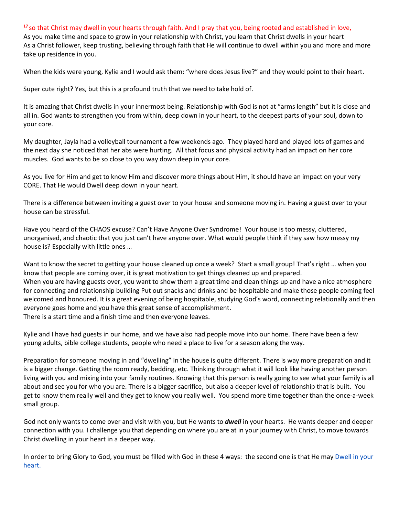## **<sup>17</sup>** so that Christ may dwell in your hearts through faith. And I pray that you, being rooted and established in love,

As you make time and space to grow in your relationship with Christ, you learn that Christ dwells in your heart As a Christ follower, keep trusting, believing through faith that He will continue to dwell within you and more and more take up residence in you.

When the kids were young, Kylie and I would ask them: "where does Jesus live?" and they would point to their heart.

Super cute right? Yes, but this is a profound truth that we need to take hold of.

It is amazing that Christ dwells in your innermost being. Relationship with God is not at "arms length" but it is close and all in. God wants to strengthen you from within, deep down in your heart, to the deepest parts of your soul, down to your core.

My daughter, Jayla had a volleyball tournament a few weekends ago. They played hard and played lots of games and the next day she noticed that her abs were hurting. All that focus and physical activity had an impact on her core muscles. God wants to be so close to you way down deep in your core.

As you live for Him and get to know Him and discover more things about Him, it should have an impact on your very CORE. That He would Dwell deep down in your heart.

There is a difference between inviting a guest over to your house and someone moving in. Having a guest over to your house can be stressful.

Have you heard of the CHAOS excuse? Can't Have Anyone Over Syndrome! Your house is too messy, cluttered, unorganised, and chaotic that you just can't have anyone over. What would people think if they saw how messy my house is? Especially with little ones …

Want to know the secret to getting your house cleaned up once a week? Start a small group! That's right ... when you know that people are coming over, it is great motivation to get things cleaned up and prepared. When you are having guests over, you want to show them a great time and clean things up and have a nice atmosphere for connecting and relationship building Put out snacks and drinks and be hospitable and make those people coming feel welcomed and honoured. It is a great evening of being hospitable, studying God's word, connecting relationally and then everyone goes home and you have this great sense of accomplishment. There is a start time and a finish time and then everyone leaves.

Kylie and I have had guests in our home, and we have also had people move into our home. There have been a few young adults, bible college students, people who need a place to live for a season along the way.

Preparation for someone moving in and "dwelling" in the house is quite different. There is way more preparation and it is a bigger change. Getting the room ready, bedding, etc. Thinking through what it will look like having another person living with you and mixing into your family routines. Knowing that this person is really going to see what your family is all about and see you for who you are. There is a bigger sacrifice, but also a deeper level of relationship that is built. You get to know them really well and they get to know you really well. You spend more time together than the once-a-week small group.

God not only wants to come over and visit with you, but He wants to *dwell* in your hearts. He wants deeper and deeper connection with you. I challenge you that depending on where you are at in your journey with Christ, to move towards Christ dwelling in your heart in a deeper way.

In order to bring Glory to God, you must be filled with God in these 4 ways: the second one is that He may Dwell in your heart.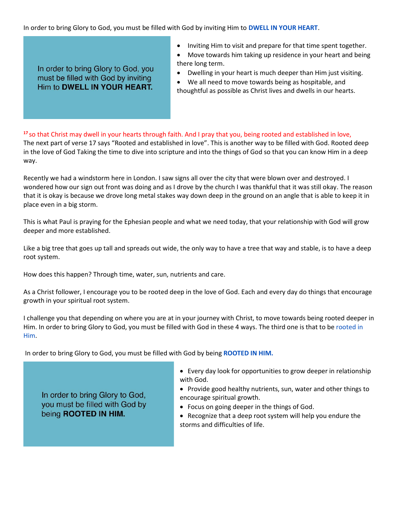In order to bring Glory to God, you must be filled with God by inviting Him to **DWELL IN YOUR HEART**.

In order to bring Glory to God, you must be filled with God by inviting Him to DWELL IN YOUR HEART.

- Inviting Him to visit and prepare for that time spent together.
- Move towards him taking up residence in your heart and being there long term.
- Dwelling in your heart is much deeper than Him just visiting.
- We all need to move towards being as hospitable, and thoughtful as possible as Christ lives and dwells in our hearts.

**<sup>17</sup>** so that Christ may dwell in your hearts through faith. And I pray that you, being rooted and established in love, The next part of verse 17 says "Rooted and established in love". This is another way to be filled with God. Rooted deep in the love of God Taking the time to dive into scripture and into the things of God so that you can know Him in a deep way.

Recently we had a windstorm here in London. I saw signs all over the city that were blown over and destroyed. I wondered how our sign out front was doing and as I drove by the church I was thankful that it was still okay. The reason that it is okay is because we drove long metal stakes way down deep in the ground on an angle that is able to keep it in place even in a big storm.

This is what Paul is praying for the Ephesian people and what we need today, that your relationship with God will grow deeper and more established.

Like a big tree that goes up tall and spreads out wide, the only way to have a tree that way and stable, is to have a deep root system.

How does this happen? Through time, water, sun, nutrients and care.

As a Christ follower, I encourage you to be rooted deep in the love of God. Each and every day do things that encourage growth in your spiritual root system.

I challenge you that depending on where you are at in your journey with Christ, to move towards being rooted deeper in Him. In order to bring Glory to God, you must be filled with God in these 4 ways. The third one is that to be rooted in Him.

In order to bring Glory to God, you must be filled with God by being **ROOTED IN HIM.**

In order to bring Glory to God, you must be filled with God by being ROOTED IN HIM.

- Every day look for opportunities to grow deeper in relationship with God.
- Provide good healthy nutrients, sun, water and other things to encourage spiritual growth.
- Focus on going deeper in the things of God.
- Recognize that a deep root system will help you endure the storms and difficulties of life.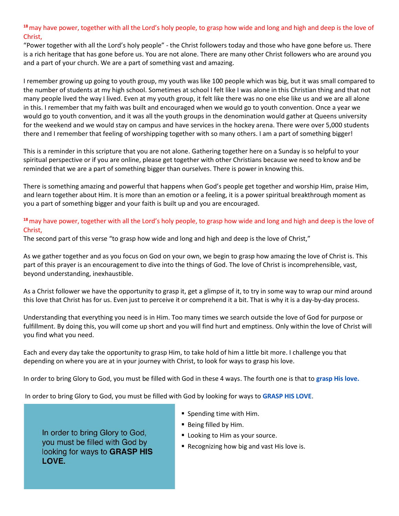**<sup>18</sup>**may have power, together with all the Lord's holy people, to grasp how wide and long and high and deep is the love of Christ,

"Power together with all the Lord's holy people" - the Christ followers today and those who have gone before us. There is a rich heritage that has gone before us. You are not alone. There are many other Christ followers who are around you and a part of your church. We are a part of something vast and amazing.

I remember growing up going to youth group, my youth was like 100 people which was big, but it was small compared to the number of students at my high school. Sometimes at school I felt like I was alone in this Christian thing and that not many people lived the way I lived. Even at my youth group, it felt like there was no one else like us and we are all alone in this. I remember that my faith was built and encouraged when we would go to youth convention. Once a year we would go to youth convention, and it was all the youth groups in the denomination would gather at Queens university for the weekend and we would stay on campus and have services in the hockey arena. There were over 5,000 students there and I remember that feeling of worshipping together with so many others. I am a part of something bigger!

This is a reminder in this scripture that you are not alone. Gathering together here on a Sunday is so helpful to your spiritual perspective or if you are online, please get together with other Christians because we need to know and be reminded that we are a part of something bigger than ourselves. There is power in knowing this.

There is something amazing and powerful that happens when God's people get together and worship Him, praise Him, and learn together about Him. It is more than an emotion or a feeling, it is a power spiritual breakthrough moment as you a part of something bigger and your faith is built up and you are encouraged.

## **<sup>18</sup>**may have power, together with all the Lord's holy people, to grasp how wide and long and high and deep is the love of Christ,

The second part of this verse "to grasp how wide and long and high and deep is the love of Christ,"

As we gather together and as you focus on God on your own, we begin to grasp how amazing the love of Christ is. This part of this prayer is an encouragement to dive into the things of God. The love of Christ is incomprehensible, vast, beyond understanding, inexhaustible.

As a Christ follower we have the opportunity to grasp it, get a glimpse of it, to try in some way to wrap our mind around this love that Christ has for us. Even just to perceive it or comprehend it a bit. That is why it is a day-by-day process.

Understanding that everything you need is in Him. Too many times we search outside the love of God for purpose or fulfillment. By doing this, you will come up short and you will find hurt and emptiness. Only within the love of Christ will you find what you need.

Each and every day take the opportunity to grasp Him, to take hold of him a little bit more. I challenge you that depending on where you are at in your journey with Christ, to look for ways to grasp his love.

In order to bring Glory to God, you must be filled with God in these 4 ways. The fourth one is that to **grasp His love.**

In order to bring Glory to God, you must be filled with God by looking for ways to **GRASP HIS LOVE**.

- Spending time with Him.
- Being filled by Him.
- **E** Looking to Him as your source.
- Recognizing how big and vast His love is.

In order to bring Glory to God, you must be filled with God by looking for ways to GRASP HIS LOVE.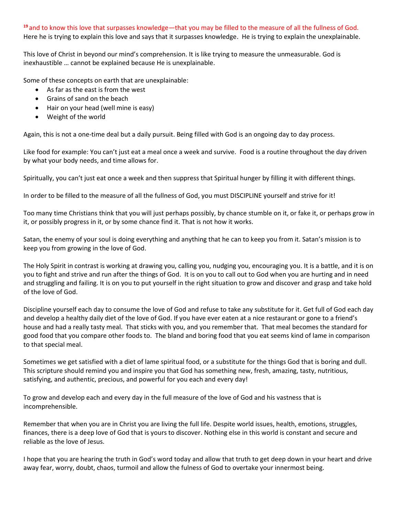#### **<sup>19</sup>** and to know this love that surpasses knowledge—that you may be filled to the measure of all the fullness of God.

Here he is trying to explain this love and says that it surpasses knowledge. He is trying to explain the unexplainable.

This love of Christ in beyond our mind's comprehension. It is like trying to measure the unmeasurable. God is inexhaustible … cannot be explained because He is unexplainable.

Some of these concepts on earth that are unexplainable:

- As far as the east is from the west
- Grains of sand on the beach
- Hair on your head (well mine is easy)
- Weight of the world

Again, this is not a one-time deal but a daily pursuit. Being filled with God is an ongoing day to day process.

Like food for example: You can't just eat a meal once a week and survive. Food is a routine throughout the day driven by what your body needs, and time allows for.

Spiritually, you can't just eat once a week and then suppress that Spiritual hunger by filling it with different things.

In order to be filled to the measure of all the fullness of God, you must DISCIPLINE yourself and strive for it!

Too many time Christians think that you will just perhaps possibly, by chance stumble on it, or fake it, or perhaps grow in it, or possibly progress in it, or by some chance find it. That is not how it works.

Satan, the enemy of your soul is doing everything and anything that he can to keep you from it. Satan's mission is to keep you from growing in the love of God.

The Holy Spirit in contrast is working at drawing you, calling you, nudging you, encouraging you. It is a battle, and it is on you to fight and strive and run after the things of God. It is on you to call out to God when you are hurting and in need and struggling and failing. It is on you to put yourself in the right situation to grow and discover and grasp and take hold of the love of God.

Discipline yourself each day to consume the love of God and refuse to take any substitute for it. Get full of God each day and develop a healthy daily diet of the love of God. If you have ever eaten at a nice restaurant or gone to a friend's house and had a really tasty meal. That sticks with you, and you remember that. That meal becomes the standard for good food that you compare other foods to. The bland and boring food that you eat seems kind of lame in comparison to that special meal.

Sometimes we get satisfied with a diet of lame spiritual food, or a substitute for the things God that is boring and dull. This scripture should remind you and inspire you that God has something new, fresh, amazing, tasty, nutritious, satisfying, and authentic, precious, and powerful for you each and every day!

To grow and develop each and every day in the full measure of the love of God and his vastness that is incomprehensible.

Remember that when you are in Christ you are living the full life. Despite world issues, health, emotions, struggles, finances, there is a deep love of God that is yours to discover. Nothing else in this world is constant and secure and reliable as the love of Jesus.

I hope that you are hearing the truth in God's word today and allow that truth to get deep down in your heart and drive away fear, worry, doubt, chaos, turmoil and allow the fulness of God to overtake your innermost being.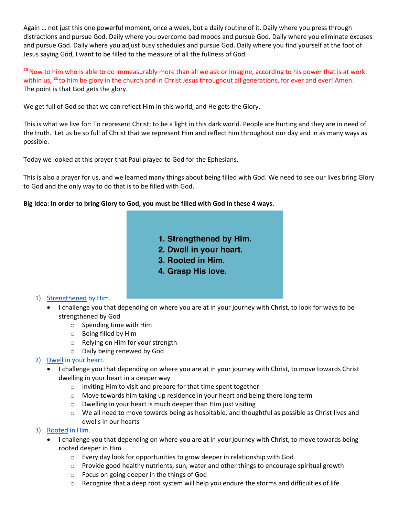Again … not just this one powerful moment, once a week, but a daily routine of it. Daily where you press through distractions and pursue God. Daily where you overcome bad moods and pursue God. Daily where you eliminate excuses and pursue God. Daily where you adjust busy schedules and pursue God. Daily where you find yourself at the foot of Jesus saying God, I want to be filled to the measure of all the fullness of God.

**<sup>20</sup>**Now to him who is able to do immeasurably more than all we ask or imagine, according to his power that is at work within us, <sup>21</sup> to him be glory in the church and in Christ Jesus throughout all generations, for ever and ever! Amen. The point is that God gets the glory.

We get full of God so that we can reflect Him in this world, and He gets the Glory.

This is what we live for: To represent Christ; to be a light in this dark world. People are hurting and they are in need of the truth. Let us be so full of Christ that we represent Him and reflect him throughout our day and in as many ways as possible.

Today we looked at this prayer that Paul prayed to God for the Ephesians.

This is also a prayer for us, and we learned many things about being filled with God. We need to see our lives bring Glory to God and the only way to do that is to be filled with God.

## **Big Idea: In order to bring Glory to God, you must be filled with God in these 4 ways.**

- 1. Strengthened by Him.
- 2. Dwell in your heart.
- 3. Rooted in Him.
- 4. Grasp His love.

# 1) Strengthened by Him.

- I challenge you that depending on where you are at in your journey with Christ, to look for ways to be strengthened by God
	- o Spending time with Him
	- o Being filled by Him
	- o Relying on Him for your strength
	- o Daily being renewed by God

# 2) Dwell in your heart.

- I challenge you that depending on where you are at in your journey with Christ, to move towards Christ dwelling in your heart in a deeper way
	- o Inviting Him to visit and prepare for that time spent together
	- $\circ$  Move towards him taking up residence in your heart and being there long term
	- o Dwelling in your heart is much deeper than Him just visiting
	- $\circ$  We all need to move towards being as hospitable, and thoughtful as possible as Christ lives and dwells in our hearts

#### 3) Rooted in Him.

- I challenge you that depending on where you are at in your journey with Christ, to move towards being rooted deeper in Him
	- $\circ$  Every day look for opportunities to grow deeper in relationship with God
	- $\circ$  Provide good healthy nutrients, sun, water and other things to encourage spiritual growth
	- o Focus on going deeper in the things of God
	- $\circ$  Recognize that a deep root system will help you endure the storms and difficulties of life